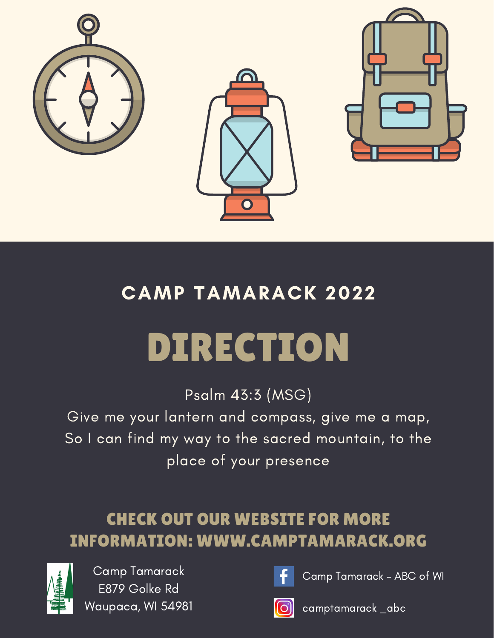

## CAMP TAMARACK 2022

# DIRECTION

Psalm 43:3 (MSG)

Give me your lantern and compass, give me a map, So I can find my way to the sacred mountain, to the place of your presence

### CHECK OUT OUR WEBSITE FOR MORE INFORMATION: WWW.CAMPTAMARACK.ORG



Camp Tamarack E879 Golke Rd Waupaca, WI 54981



Camp Tamarack - ABC of WI



camptamarack \_abc